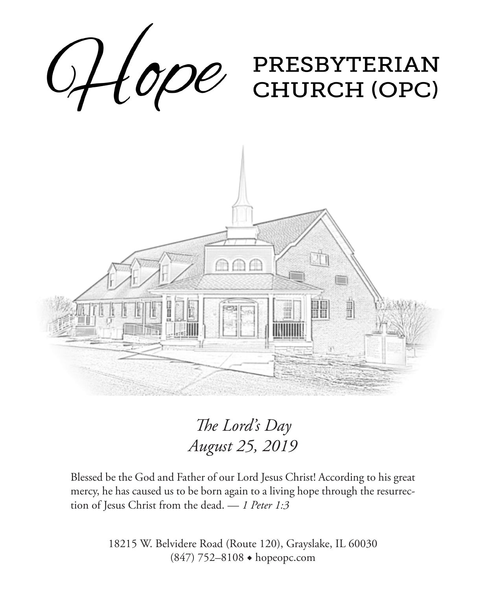

*The Lord's Day August 25, 2019*

Blessed be the God and Father of our Lord Jesus Christ! According to his great mercy, he has caused us to be born again to a living hope through the resurrection of Jesus Christ from the dead. — *1 Peter 1:3*

> 18215 W. Belvidere Road (Route 120), Grayslake, IL 60030 (847) 752–8108 ◆ hopeopc.com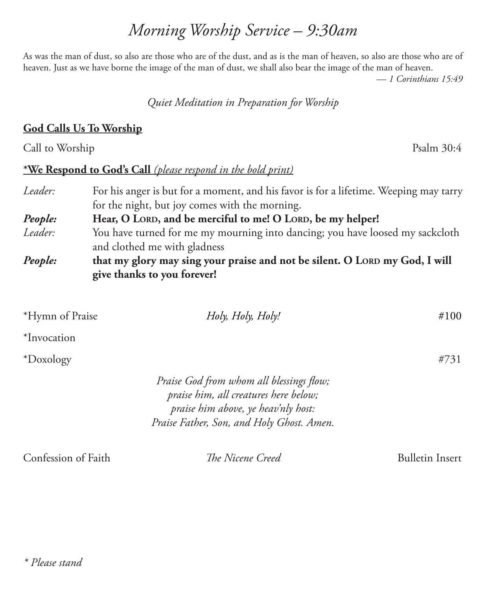## *Morning Worship Service – 9:30am*

As was the man of dust, so also are those who are of the dust, and as is the man of heaven, so also are those who are of heaven. Just as we have borne the image of the man of dust, we shall also bear the image of the man of heaven.

— *1 Corinthians 15:49*

*Quiet Meditation in Preparation for Worship*

### **God Calls Us To Worship**

Call to Worship Psalm 30:4

### **\*We Respond to God's Call** *(please respond in the bold print)*

| Leader: | For his anger is but for a moment, and his favor is for a lifetime. Weeping may tarry<br>for the night, but joy comes with the morning. |  |
|---------|-----------------------------------------------------------------------------------------------------------------------------------------|--|
| People: | Hear, O LORD, and be merciful to me! O LORD, be my helper!                                                                              |  |
| Leader: | You have turned for me my mourning into dancing; you have loosed my sackcloth<br>and clothed me with gladness                           |  |
| People: | that my glory may sing your praise and not be silent. O LORD my God, I will<br>give thanks to you forever!                              |  |

| *Hymn of Praise | Holy, Holy, Holy!                                                                                                                                                     | #100 |
|-----------------|-----------------------------------------------------------------------------------------------------------------------------------------------------------------------|------|
| *Invocation     |                                                                                                                                                                       |      |
| *Doxology       |                                                                                                                                                                       | #731 |
|                 | Praise God from whom all blessings flow;<br>praise him, all creatures here below;<br>praise him above, ye heav'nly host:<br>Praise Father, Son, and Holy Ghost. Amen. |      |

Confession of Faith *The Nicene Creed* Bulletin Insert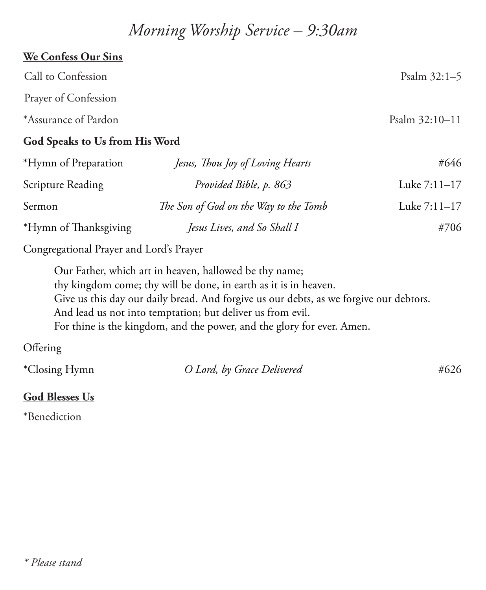### *Morning Worship Service – 9:30am*

# **We Confess Our Sins** Call to Confession Psalm 32:1–5 Prayer of Confession \*Assurance of Pardon Psalm 32:10–11 **God Speaks to Us from His Word** \*Hymn of Preparation *Jesus, Thou Joy of Loving Hearts* #646 Scripture Reading *Provided Bible, p. 863* Luke 7:11–17 Sermon *The Son of God on the Way to the Tomb* Luke 7:11–17

\*Hymn of Thanksgiving *Jesus Lives, and So Shall I* #706

Congregational Prayer and Lord's Prayer

Our Father, which art in heaven, hallowed be thy name; thy kingdom come; thy will be done, in earth as it is in heaven. Give us this day our daily bread. And forgive us our debts, as we forgive our debtors. And lead us not into temptation; but deliver us from evil. For thine is the kingdom, and the power, and the glory for ever. Amen.

#### **Offering**

| *Closing Hymn | O Lord, by Grace Delivered | #626 |
|---------------|----------------------------|------|
| __ _ _        |                            |      |

### **God Blesses Us**

\*Benediction